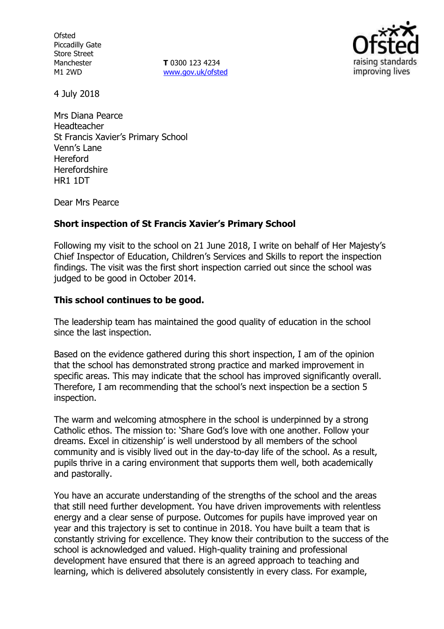**Ofsted** Piccadilly Gate Store Street Manchester M1 2WD

**T** 0300 123 4234 www.gov.uk/ofsted



4 July 2018

Mrs Diana Pearce Headteacher St Francis Xavier's Primary School Venn's Lane Hereford Herefordshire HR1 1DT

Dear Mrs Pearce

## **Short inspection of St Francis Xavier's Primary School**

Following my visit to the school on 21 June 2018, I write on behalf of Her Majesty's Chief Inspector of Education, Children's Services and Skills to report the inspection findings. The visit was the first short inspection carried out since the school was judged to be good in October 2014.

## **This school continues to be good.**

The leadership team has maintained the good quality of education in the school since the last inspection.

Based on the evidence gathered during this short inspection, I am of the opinion that the school has demonstrated strong practice and marked improvement in specific areas. This may indicate that the school has improved significantly overall. Therefore, I am recommending that the school's next inspection be a section 5 inspection.

The warm and welcoming atmosphere in the school is underpinned by a strong Catholic ethos. The mission to: 'Share God's love with one another. Follow your dreams. Excel in citizenship' is well understood by all members of the school community and is visibly lived out in the day-to-day life of the school. As a result, pupils thrive in a caring environment that supports them well, both academically and pastorally.

You have an accurate understanding of the strengths of the school and the areas that still need further development. You have driven improvements with relentless energy and a clear sense of purpose. Outcomes for pupils have improved year on year and this trajectory is set to continue in 2018. You have built a team that is constantly striving for excellence. They know their contribution to the success of the school is acknowledged and valued. High-quality training and professional development have ensured that there is an agreed approach to teaching and learning, which is delivered absolutely consistently in every class. For example,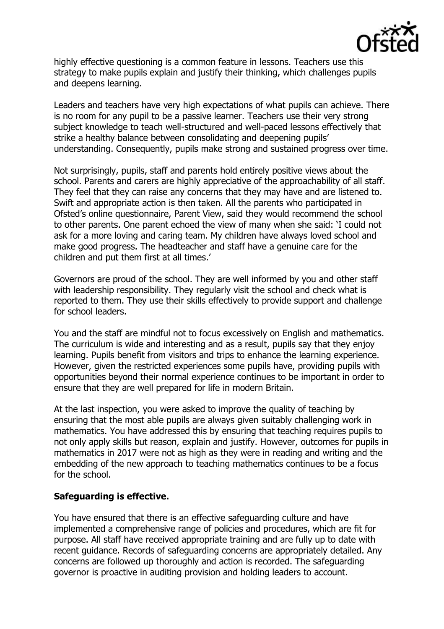

highly effective questioning is a common feature in lessons. Teachers use this strategy to make pupils explain and justify their thinking, which challenges pupils and deepens learning.

Leaders and teachers have very high expectations of what pupils can achieve. There is no room for any pupil to be a passive learner. Teachers use their very strong subject knowledge to teach well-structured and well-paced lessons effectively that strike a healthy balance between consolidating and deepening pupils' understanding. Consequently, pupils make strong and sustained progress over time.

Not surprisingly, pupils, staff and parents hold entirely positive views about the school. Parents and carers are highly appreciative of the approachability of all staff. They feel that they can raise any concerns that they may have and are listened to. Swift and appropriate action is then taken. All the parents who participated in Ofsted's online questionnaire, Parent View, said they would recommend the school to other parents. One parent echoed the view of many when she said: 'I could not ask for a more loving and caring team. My children have always loved school and make good progress. The headteacher and staff have a genuine care for the children and put them first at all times.'

Governors are proud of the school. They are well informed by you and other staff with leadership responsibility. They regularly visit the school and check what is reported to them. They use their skills effectively to provide support and challenge for school leaders.

You and the staff are mindful not to focus excessively on English and mathematics. The curriculum is wide and interesting and as a result, pupils say that they enjoy learning. Pupils benefit from visitors and trips to enhance the learning experience. However, given the restricted experiences some pupils have, providing pupils with opportunities beyond their normal experience continues to be important in order to ensure that they are well prepared for life in modern Britain.

At the last inspection, you were asked to improve the quality of teaching by ensuring that the most able pupils are always given suitably challenging work in mathematics. You have addressed this by ensuring that teaching requires pupils to not only apply skills but reason, explain and justify. However, outcomes for pupils in mathematics in 2017 were not as high as they were in reading and writing and the embedding of the new approach to teaching mathematics continues to be a focus for the school.

# **Safeguarding is effective.**

You have ensured that there is an effective safeguarding culture and have implemented a comprehensive range of policies and procedures, which are fit for purpose. All staff have received appropriate training and are fully up to date with recent guidance. Records of safeguarding concerns are appropriately detailed. Any concerns are followed up thoroughly and action is recorded. The safeguarding governor is proactive in auditing provision and holding leaders to account.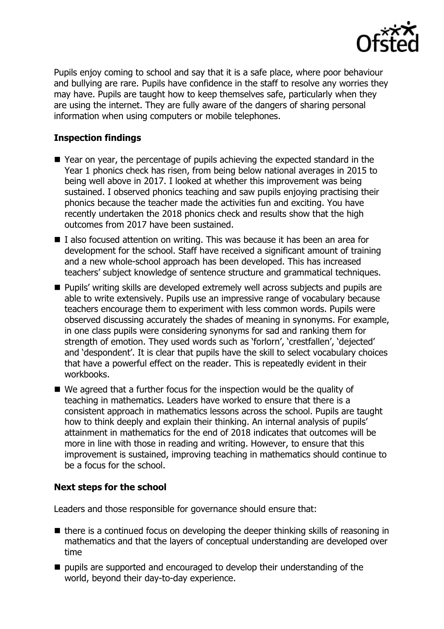

Pupils enjoy coming to school and say that it is a safe place, where poor behaviour and bullying are rare. Pupils have confidence in the staff to resolve any worries they may have. Pupils are taught how to keep themselves safe, particularly when they are using the internet. They are fully aware of the dangers of sharing personal information when using computers or mobile telephones.

# **Inspection findings**

- Year on year, the percentage of pupils achieving the expected standard in the Year 1 phonics check has risen, from being below national averages in 2015 to being well above in 2017. I looked at whether this improvement was being sustained. I observed phonics teaching and saw pupils enjoying practising their phonics because the teacher made the activities fun and exciting. You have recently undertaken the 2018 phonics check and results show that the high outcomes from 2017 have been sustained.
- I also focused attention on writing. This was because it has been an area for development for the school. Staff have received a significant amount of training and a new whole-school approach has been developed. This has increased teachers' subject knowledge of sentence structure and grammatical techniques.
- **Pupils' writing skills are developed extremely well across subjects and pupils are** able to write extensively. Pupils use an impressive range of vocabulary because teachers encourage them to experiment with less common words. Pupils were observed discussing accurately the shades of meaning in synonyms. For example, in one class pupils were considering synonyms for sad and ranking them for strength of emotion. They used words such as 'forlorn', 'crestfallen', 'dejected' and 'despondent'. It is clear that pupils have the skill to select vocabulary choices that have a powerful effect on the reader. This is repeatedly evident in their workbooks.
- We agreed that a further focus for the inspection would be the quality of teaching in mathematics. Leaders have worked to ensure that there is a consistent approach in mathematics lessons across the school. Pupils are taught how to think deeply and explain their thinking. An internal analysis of pupils' attainment in mathematics for the end of 2018 indicates that outcomes will be more in line with those in reading and writing. However, to ensure that this improvement is sustained, improving teaching in mathematics should continue to be a focus for the school.

# **Next steps for the school**

Leaders and those responsible for governance should ensure that:

- $\blacksquare$  there is a continued focus on developing the deeper thinking skills of reasoning in mathematics and that the layers of conceptual understanding are developed over time
- $\blacksquare$  pupils are supported and encouraged to develop their understanding of the world, beyond their day-to-day experience.